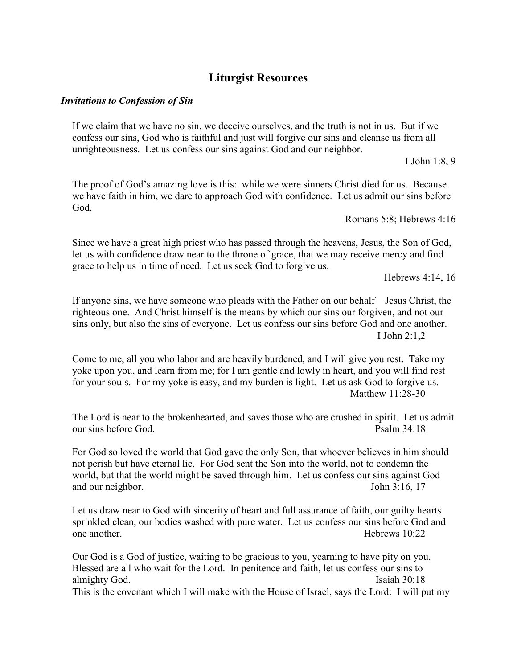# **Liturgist Resources**

#### *Invitations to Confession of Sin*

If we claim that we have no sin, we deceive ourselves, and the truth is not in us. But if we confess our sins, God who is faithful and just will forgive our sins and cleanse us from all unrighteousness. Let us confess our sins against God and our neighbor.

I John 1:8, 9

The proof of God's amazing love is this: while we were sinners Christ died for us. Because we have faith in him, we dare to approach God with confidence. Let us admit our sins before God.

Romans 5:8; Hebrews 4:16

Since we have a great high priest who has passed through the heavens, Jesus, the Son of God, let us with confidence draw near to the throne of grace, that we may receive mercy and find grace to help us in time of need. Let us seek God to forgive us.

Hebrews 4:14, 16

If anyone sins, we have someone who pleads with the Father on our behalf – Jesus Christ, the righteous one. And Christ himself is the means by which our sins our forgiven, and not our sins only, but also the sins of everyone. Let us confess our sins before God and one another. I John 2:1,2

Come to me, all you who labor and are heavily burdened, and I will give you rest. Take my yoke upon you, and learn from me; for I am gentle and lowly in heart, and you will find rest for your souls. For my yoke is easy, and my burden is light. Let us ask God to forgive us. Matthew 11:28-30

The Lord is near to the brokenhearted, and saves those who are crushed in spirit. Let us admit our sins before God. Psalm 34:18

For God so loved the world that God gave the only Son, that whoever believes in him should not perish but have eternal lie. For God sent the Son into the world, not to condemn the world, but that the world might be saved through him. Let us confess our sins against God and our neighbor. John 3:16, 17

Let us draw near to God with sincerity of heart and full assurance of faith, our guilty hearts sprinkled clean, our bodies washed with pure water. Let us confess our sins before God and one another. Hebrews 10:22

Our God is a God of justice, waiting to be gracious to you, yearning to have pity on you. Blessed are all who wait for the Lord. In penitence and faith, let us confess our sins to almighty God. Isaiah 30:18

This is the covenant which I will make with the House of Israel, says the Lord: I will put my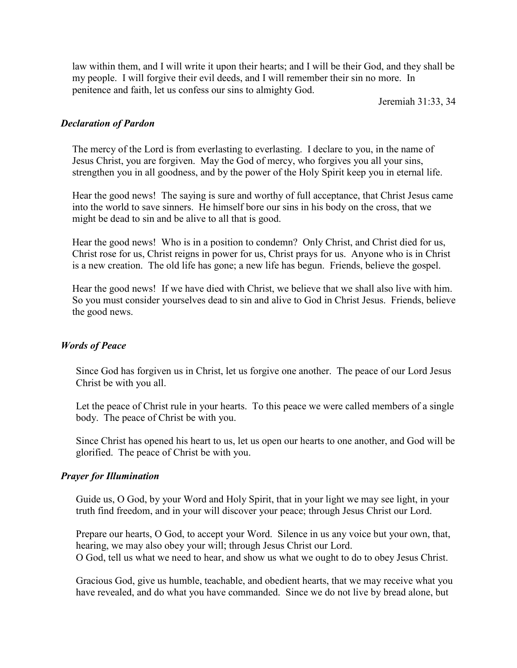law within them, and I will write it upon their hearts; and I will be their God, and they shall be my people. I will forgive their evil deeds, and I will remember their sin no more. In penitence and faith, let us confess our sins to almighty God.

Jeremiah 31:33, 34

## *Declaration of Pardon*

The mercy of the Lord is from everlasting to everlasting. I declare to you, in the name of Jesus Christ, you are forgiven. May the God of mercy, who forgives you all your sins, strengthen you in all goodness, and by the power of the Holy Spirit keep you in eternal life.

Hear the good news! The saying is sure and worthy of full acceptance, that Christ Jesus came into the world to save sinners. He himself bore our sins in his body on the cross, that we might be dead to sin and be alive to all that is good.

Hear the good news! Who is in a position to condemn? Only Christ, and Christ died for us, Christ rose for us, Christ reigns in power for us, Christ prays for us. Anyone who is in Christ is a new creation. The old life has gone; a new life has begun. Friends, believe the gospel.

Hear the good news! If we have died with Christ, we believe that we shall also live with him. So you must consider yourselves dead to sin and alive to God in Christ Jesus. Friends, believe the good news.

## *Words of Peace*

Since God has forgiven us in Christ, let us forgive one another. The peace of our Lord Jesus Christ be with you all.

Let the peace of Christ rule in your hearts. To this peace we were called members of a single body. The peace of Christ be with you.

Since Christ has opened his heart to us, let us open our hearts to one another, and God will be glorified. The peace of Christ be with you.

## *Prayer for Illumination*

Guide us, O God, by your Word and Holy Spirit, that in your light we may see light, in your truth find freedom, and in your will discover your peace; through Jesus Christ our Lord.

Prepare our hearts, O God, to accept your Word. Silence in us any voice but your own, that, hearing, we may also obey your will; through Jesus Christ our Lord. O God, tell us what we need to hear, and show us what we ought to do to obey Jesus Christ.

Gracious God, give us humble, teachable, and obedient hearts, that we may receive what you have revealed, and do what you have commanded. Since we do not live by bread alone, but